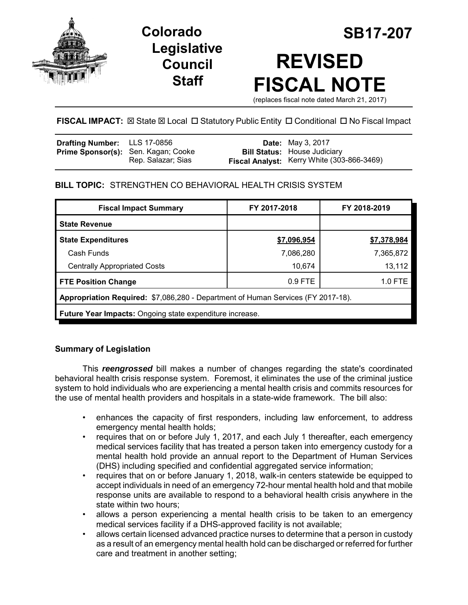

# **Legislative Council Staff**

# **Colorado SB17-207 REVISED FISCAL NOTE**

(replaces fiscal note dated March 21, 2017)

# **FISCAL IMPACT:** ⊠ State ⊠ Local □ Statutory Public Entity □ Conditional □ No Fiscal Impact

| Drafting Number: LLS 17-0856               |                    | <b>Date:</b> May 3, 2017                                                          |
|--------------------------------------------|--------------------|-----------------------------------------------------------------------------------|
| <b>Prime Sponsor(s):</b> Sen. Kagan; Cooke | Rep. Salazar; Sias | <b>Bill Status:</b> House Judiciary<br>Fiscal Analyst: Kerry White (303-866-3469) |

## **BILL TOPIC:** STRENGTHEN CO BEHAVIORAL HEALTH CRISIS SYSTEM

| <b>Fiscal Impact Summary</b>                                                     | FY 2017-2018 | FY 2018-2019 |  |  |  |  |
|----------------------------------------------------------------------------------|--------------|--------------|--|--|--|--|
| <b>State Revenue</b>                                                             |              |              |  |  |  |  |
| <b>State Expenditures</b>                                                        | \$7,096,954  | \$7,378,984  |  |  |  |  |
| Cash Funds                                                                       | 7,086,280    | 7,365,872    |  |  |  |  |
| <b>Centrally Appropriated Costs</b>                                              | 10,674       | 13,112       |  |  |  |  |
| <b>FTE Position Change</b>                                                       | $0.9$ FTE    | 1.0 FTE      |  |  |  |  |
| Appropriation Required: \$7,086,280 - Department of Human Services (FY 2017-18). |              |              |  |  |  |  |
| Future Year Impacts: Ongoing state expenditure increase.                         |              |              |  |  |  |  |

## **Summary of Legislation**

This *reengrossed* bill makes a number of changes regarding the state's coordinated behavioral health crisis response system. Foremost, it eliminates the use of the criminal justice system to hold individuals who are experiencing a mental health crisis and commits resources for the use of mental health providers and hospitals in a state-wide framework. The bill also:

- enhances the capacity of first responders, including law enforcement, to address emergency mental health holds;
- requires that on or before July 1, 2017, and each July 1 thereafter, each emergency medical services facility that has treated a person taken into emergency custody for a mental health hold provide an annual report to the Department of Human Services (DHS) including specified and confidential aggregated service information;
- requires that on or before January 1, 2018, walk-in centers statewide be equipped to accept individuals in need of an emergency 72-hour mental health hold and that mobile response units are available to respond to a behavioral health crisis anywhere in the state within two hours;
- allows a person experiencing a mental health crisis to be taken to an emergency medical services facility if a DHS-approved facility is not available;
- allows certain licensed advanced practice nurses to determine that a person in custody as a result of an emergency mental health hold can be discharged or referred for further care and treatment in another setting;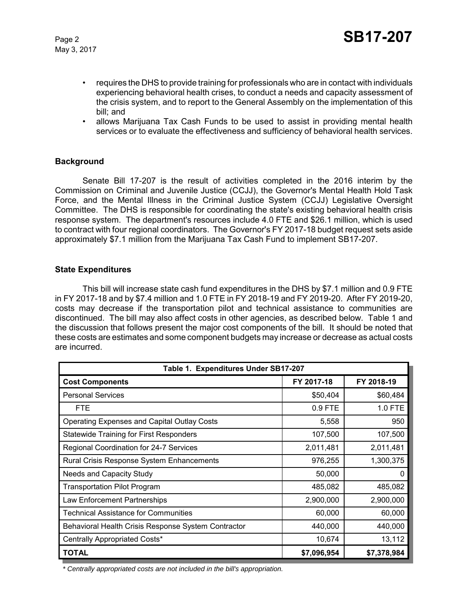- requires the DHS to provide training for professionals who are in contact with individuals experiencing behavioral health crises, to conduct a needs and capacity assessment of the crisis system, and to report to the General Assembly on the implementation of this bill; and
- allows Marijuana Tax Cash Funds to be used to assist in providing mental health services or to evaluate the effectiveness and sufficiency of behavioral health services.

#### **Background**

Senate Bill 17-207 is the result of activities completed in the 2016 interim by the Commission on Criminal and Juvenile Justice (CCJJ), the Governor's Mental Health Hold Task Force, and the Mental Illness in the Criminal Justice System (CCJJ) Legislative Oversight Committee. The DHS is responsible for coordinating the state's existing behavioral health crisis response system. The department's resources include 4.0 FTE and \$26.1 million, which is used to contract with four regional coordinators. The Governor's FY 2017-18 budget request sets aside approximately \$7.1 million from the Marijuana Tax Cash Fund to implement SB17-207.

#### **State Expenditures**

This bill will increase state cash fund expenditures in the DHS by \$7.1 million and 0.9 FTE in FY 2017-18 and by \$7.4 million and 1.0 FTE in FY 2018-19 and FY 2019-20. After FY 2019-20, costs may decrease if the transportation pilot and technical assistance to communities are discontinued. The bill may also affect costs in other agencies, as described below. Table 1 and the discussion that follows present the major cost components of the bill. It should be noted that these costs are estimates and some component budgets may increase or decrease as actual costs are incurred.

| Table 1. Expenditures Under SB17-207                |             |             |  |  |  |
|-----------------------------------------------------|-------------|-------------|--|--|--|
| <b>Cost Components</b>                              | FY 2017-18  | FY 2018-19  |  |  |  |
| <b>Personal Services</b>                            | \$50,404    | \$60,484    |  |  |  |
| <b>FTE</b>                                          | 0.9 FTE     | 1.0 FTE     |  |  |  |
| <b>Operating Expenses and Capital Outlay Costs</b>  | 5,558       | 950         |  |  |  |
| <b>Statewide Training for First Responders</b>      | 107,500     | 107,500     |  |  |  |
| Regional Coordination for 24-7 Services             | 2,011,481   | 2,011,481   |  |  |  |
| Rural Crisis Response System Enhancements           | 976,255     | 1,300,375   |  |  |  |
| Needs and Capacity Study                            | 50,000      |             |  |  |  |
| <b>Transportation Pilot Program</b>                 | 485,082     | 485,082     |  |  |  |
| Law Enforcement Partnerships                        | 2,900,000   | 2,900,000   |  |  |  |
| <b>Technical Assistance for Communities</b>         | 60,000      | 60,000      |  |  |  |
| Behavioral Health Crisis Response System Contractor | 440,000     | 440,000     |  |  |  |
| Centrally Appropriated Costs*                       | 10,674      | 13,112      |  |  |  |
| <b>TOTAL</b>                                        | \$7,096,954 | \$7,378,984 |  |  |  |

 *\* Centrally appropriated costs are not included in the bill's appropriation.*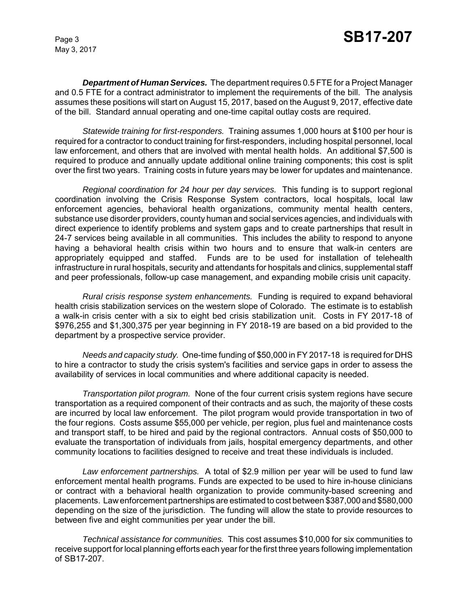*Department of Human Services.* The department requires 0.5 FTE for a Project Manager and 0.5 FTE for a contract administrator to implement the requirements of the bill. The analysis assumes these positions will start on August 15, 2017, based on the August 9, 2017, effective date of the bill. Standard annual operating and one-time capital outlay costs are required.

*Statewide training for first-responders.* Training assumes 1,000 hours at \$100 per hour is required for a contractor to conduct training for first-responders, including hospital personnel, local law enforcement, and others that are involved with mental health holds. An additional \$7,500 is required to produce and annually update additional online training components; this cost is split over the first two years. Training costs in future years may be lower for updates and maintenance.

*Regional coordination for 24 hour per day services.* This funding is to support regional coordination involving the Crisis Response System contractors, local hospitals, local law enforcement agencies, behavioral health organizations, community mental health centers, substance use disorder providers, county human and social services agencies, and individuals with direct experience to identify problems and system gaps and to create partnerships that result in 24-7 services being available in all communities. This includes the ability to respond to anyone having a behavioral health crisis within two hours and to ensure that walk-in centers are appropriately equipped and staffed. Funds are to be used for installation of telehealth infrastructure in rural hospitals, security and attendants for hospitals and clinics, supplemental staff and peer professionals, follow-up case management, and expanding mobile crisis unit capacity.

*Rural crisis response system enhancements.* Funding is required to expand behavioral health crisis stabilization services on the western slope of Colorado. The estimate is to establish a walk-in crisis center with a six to eight bed crisis stabilization unit. Costs in FY 2017-18 of \$976,255 and \$1,300,375 per year beginning in FY 2018-19 are based on a bid provided to the department by a prospective service provider.

*Needs and capacity study.* One-time funding of \$50,000 in FY 2017-18 is required for DHS to hire a contractor to study the crisis system's facilities and service gaps in order to assess the availability of services in local communities and where additional capacity is needed.

*Transportation pilot program.* None of the four current crisis system regions have secure transportation as a required component of their contracts and as such, the majority of these costs are incurred by local law enforcement. The pilot program would provide transportation in two of the four regions. Costs assume \$55,000 per vehicle, per region, plus fuel and maintenance costs and transport staff, to be hired and paid by the regional contractors. Annual costs of \$50,000 to evaluate the transportation of individuals from jails, hospital emergency departments, and other community locations to facilities designed to receive and treat these individuals is included.

*Law enforcement partnerships.* A total of \$2.9 million per year will be used to fund law enforcement mental health programs. Funds are expected to be used to hire in-house clinicians or contract with a behavioral health organization to provide community-based screening and placements. Law enforcement partnerships are estimated to cost between \$387,000 and \$580,000 depending on the size of the jurisdiction. The funding will allow the state to provide resources to between five and eight communities per year under the bill.

*Technical assistance for communities.* This cost assumes \$10,000 for six communities to receive support for local planning efforts each year for the first three years following implementation of SB17-207.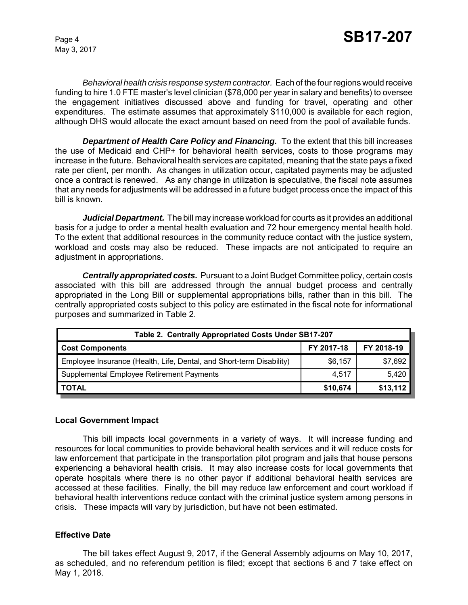*Behavioral health crisis response system contractor.* Each of the four regions would receive funding to hire 1.0 FTE master's level clinician (\$78,000 per year in salary and benefits) to oversee the engagement initiatives discussed above and funding for travel, operating and other expenditures. The estimate assumes that approximately \$110,000 is available for each region, although DHS would allocate the exact amount based on need from the pool of available funds.

*Department of Health Care Policy and Financing.* To the extent that this bill increases the use of Medicaid and CHP+ for behavioral health services, costs to those programs may increase in the future. Behavioral health services are capitated, meaning that the state pays a fixed rate per client, per month. As changes in utilization occur, capitated payments may be adjusted once a contract is renewed. As any change in utilization is speculative, the fiscal note assumes that any needs for adjustments will be addressed in a future budget process once the impact of this bill is known.

*Judicial Department.* The bill may increase workload for courts as it provides an additional basis for a judge to order a mental health evaluation and 72 hour emergency mental health hold. To the extent that additional resources in the community reduce contact with the justice system, workload and costs may also be reduced. These impacts are not anticipated to require an adjustment in appropriations.

*Centrally appropriated costs.* Pursuant to a Joint Budget Committee policy, certain costs associated with this bill are addressed through the annual budget process and centrally appropriated in the Long Bill or supplemental appropriations bills, rather than in this bill. The centrally appropriated costs subject to this policy are estimated in the fiscal note for informational purposes and summarized in Table 2.

| Table 2. Centrally Appropriated Costs Under SB17-207                 |            |            |  |  |  |
|----------------------------------------------------------------------|------------|------------|--|--|--|
| <b>Cost Components</b>                                               | FY 2017-18 | FY 2018-19 |  |  |  |
| Employee Insurance (Health, Life, Dental, and Short-term Disability) | \$6,157    | \$7,692    |  |  |  |
| Supplemental Employee Retirement Payments                            | 4,517      | 5,420      |  |  |  |
| <b>TOTAL</b>                                                         | \$10,674   | \$13,112   |  |  |  |

#### **Local Government Impact**

This bill impacts local governments in a variety of ways. It will increase funding and resources for local communities to provide behavioral health services and it will reduce costs for law enforcement that participate in the transportation pilot program and jails that house persons experiencing a behavioral health crisis. It may also increase costs for local governments that operate hospitals where there is no other payor if additional behavioral health services are accessed at these facilities. Finally, the bill may reduce law enforcement and court workload if behavioral health interventions reduce contact with the criminal justice system among persons in crisis. These impacts will vary by jurisdiction, but have not been estimated.

#### **Effective Date**

The bill takes effect August 9, 2017, if the General Assembly adjourns on May 10, 2017, as scheduled, and no referendum petition is filed; except that sections 6 and 7 take effect on May 1, 2018.